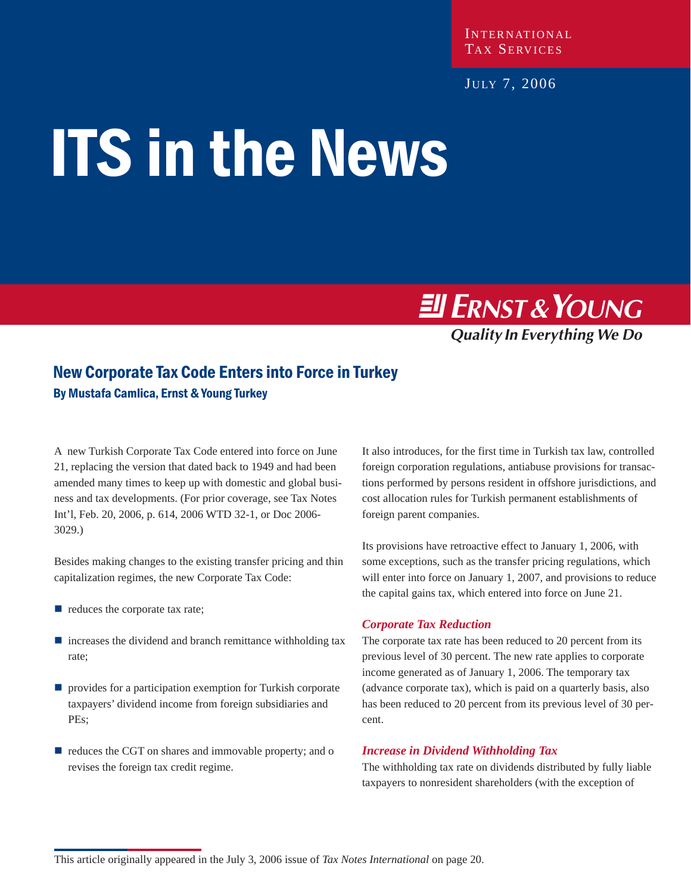INTERNATIONAL TAX SERVICES

JULY 7, 2006

# ITS in the News

**Ell ERNST & YOUNG** 

**Quality In Everything We Do** 

# New Corporate Tax Code Enters into Force in Turkey By Mustafa Camlica, Ernst & Young Turkey

A new Turkish Corporate Tax Code entered into force on June 21, replacing the version that dated back to 1949 and had been amended many times to keep up with domestic and global business and tax developments. (For prior coverage, see Tax Notes Int'l, Feb. 20, 2006, p. 614, 2006 WTD 32-1, or Doc 2006- 3029.)

Besides making changes to the existing transfer pricing and thin capitalization regimes, the new Corporate Tax Code:

- reduces the corporate tax rate;
- $\blacksquare$  increases the dividend and branch remittance withholding tax rate;
- **P** provides for a participation exemption for Turkish corporate taxpayers' dividend income from foreign subsidiaries and PEs;
- reduces the CGT on shares and immovable property; and o revises the foreign tax credit regime.

It also introduces, for the first time in Turkish tax law, controlled foreign corporation regulations, antiabuse provisions for transactions performed by persons resident in offshore jurisdictions, and cost allocation rules for Turkish permanent establishments of foreign parent companies.

Its provisions have retroactive effect to January 1, 2006, with some exceptions, such as the transfer pricing regulations, which will enter into force on January 1, 2007, and provisions to reduce the capital gains tax, which entered into force on June 21.

#### *Corporate Tax Reduction*

The corporate tax rate has been reduced to 20 percent from its previous level of 30 percent. The new rate applies to corporate income generated as of January 1, 2006. The temporary tax (advance corporate tax), which is paid on a quarterly basis, also has been reduced to 20 percent from its previous level of 30 percent.

#### *Increase in Dividend Withholding Tax*

The withholding tax rate on dividends distributed by fully liable taxpayers to nonresident shareholders (with the exception of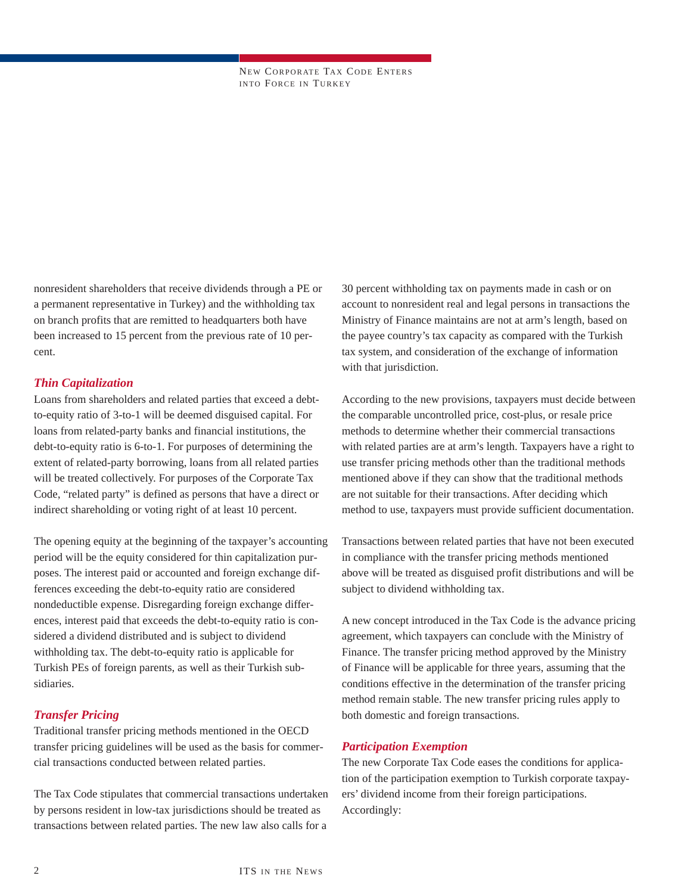NEW CORPORATE TAX CODE ENTERS INTO FORCE IN TURKEY

nonresident shareholders that receive dividends through a PE or a permanent representative in Turkey) and the withholding tax on branch profits that are remitted to headquarters both have been increased to 15 percent from the previous rate of 10 percent.

#### *Thin Capitalization*

Loans from shareholders and related parties that exceed a debtto-equity ratio of 3-to-1 will be deemed disguised capital. For loans from related-party banks and financial institutions, the debt-to-equity ratio is 6-to-1. For purposes of determining the extent of related-party borrowing, loans from all related parties will be treated collectively. For purposes of the Corporate Tax Code, "related party" is defined as persons that have a direct or indirect shareholding or voting right of at least 10 percent.

The opening equity at the beginning of the taxpayer's accounting period will be the equity considered for thin capitalization purposes. The interest paid or accounted and foreign exchange differences exceeding the debt-to-equity ratio are considered nondeductible expense. Disregarding foreign exchange differences, interest paid that exceeds the debt-to-equity ratio is considered a dividend distributed and is subject to dividend withholding tax. The debt-to-equity ratio is applicable for Turkish PEs of foreign parents, as well as their Turkish subsidiaries.

#### *Transfer Pricing*

Traditional transfer pricing methods mentioned in the OECD transfer pricing guidelines will be used as the basis for commercial transactions conducted between related parties.

The Tax Code stipulates that commercial transactions undertaken by persons resident in low-tax jurisdictions should be treated as transactions between related parties. The new law also calls for a

30 percent withholding tax on payments made in cash or on account to nonresident real and legal persons in transactions the Ministry of Finance maintains are not at arm's length, based on the payee country's tax capacity as compared with the Turkish tax system, and consideration of the exchange of information with that jurisdiction.

According to the new provisions, taxpayers must decide between the comparable uncontrolled price, cost-plus, or resale price methods to determine whether their commercial transactions with related parties are at arm's length. Taxpayers have a right to use transfer pricing methods other than the traditional methods mentioned above if they can show that the traditional methods are not suitable for their transactions. After deciding which method to use, taxpayers must provide sufficient documentation.

Transactions between related parties that have not been executed in compliance with the transfer pricing methods mentioned above will be treated as disguised profit distributions and will be subject to dividend withholding tax.

A new concept introduced in the Tax Code is the advance pricing agreement, which taxpayers can conclude with the Ministry of Finance. The transfer pricing method approved by the Ministry of Finance will be applicable for three years, assuming that the conditions effective in the determination of the transfer pricing method remain stable. The new transfer pricing rules apply to both domestic and foreign transactions.

#### *Participation Exemption*

The new Corporate Tax Code eases the conditions for application of the participation exemption to Turkish corporate taxpayers' dividend income from their foreign participations. Accordingly: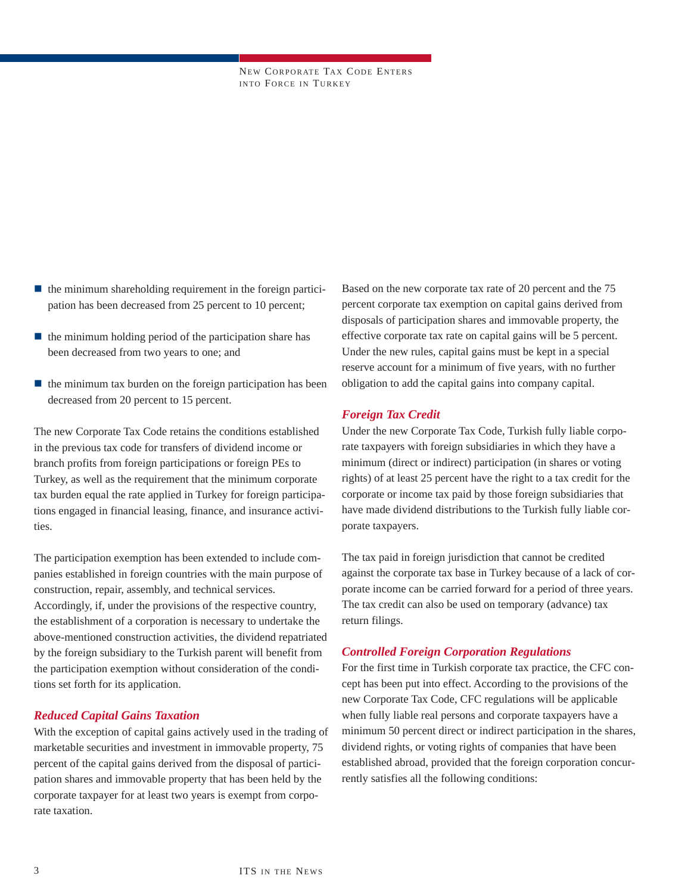NEW CORPORATE TAX CODE ENTERS INTO FORCE IN TURKEY

- $\blacksquare$  the minimum shareholding requirement in the foreign participation has been decreased from 25 percent to 10 percent;
- $\blacksquare$  the minimum holding period of the participation share has been decreased from two years to one; and
- $\blacksquare$  the minimum tax burden on the foreign participation has been decreased from 20 percent to 15 percent.

The new Corporate Tax Code retains the conditions established in the previous tax code for transfers of dividend income or branch profits from foreign participations or foreign PEs to Turkey, as well as the requirement that the minimum corporate tax burden equal the rate applied in Turkey for foreign participations engaged in financial leasing, finance, and insurance activities.

The participation exemption has been extended to include companies established in foreign countries with the main purpose of construction, repair, assembly, and technical services. Accordingly, if, under the provisions of the respective country, the establishment of a corporation is necessary to undertake the above-mentioned construction activities, the dividend repatriated by the foreign subsidiary to the Turkish parent will benefit from the participation exemption without consideration of the conditions set forth for its application.

#### *Reduced Capital Gains Taxation*

With the exception of capital gains actively used in the trading of marketable securities and investment in immovable property, 75 percent of the capital gains derived from the disposal of participation shares and immovable property that has been held by the corporate taxpayer for at least two years is exempt from corporate taxation.

Based on the new corporate tax rate of 20 percent and the 75 percent corporate tax exemption on capital gains derived from disposals of participation shares and immovable property, the effective corporate tax rate on capital gains will be 5 percent. Under the new rules, capital gains must be kept in a special reserve account for a minimum of five years, with no further obligation to add the capital gains into company capital.

#### *Foreign Tax Credit*

Under the new Corporate Tax Code, Turkish fully liable corporate taxpayers with foreign subsidiaries in which they have a minimum (direct or indirect) participation (in shares or voting rights) of at least 25 percent have the right to a tax credit for the corporate or income tax paid by those foreign subsidiaries that have made dividend distributions to the Turkish fully liable corporate taxpayers.

The tax paid in foreign jurisdiction that cannot be credited against the corporate tax base in Turkey because of a lack of corporate income can be carried forward for a period of three years. The tax credit can also be used on temporary (advance) tax return filings.

#### *Controlled Foreign Corporation Regulations*

For the first time in Turkish corporate tax practice, the CFC concept has been put into effect. According to the provisions of the new Corporate Tax Code, CFC regulations will be applicable when fully liable real persons and corporate taxpayers have a minimum 50 percent direct or indirect participation in the shares, dividend rights, or voting rights of companies that have been established abroad, provided that the foreign corporation concurrently satisfies all the following conditions: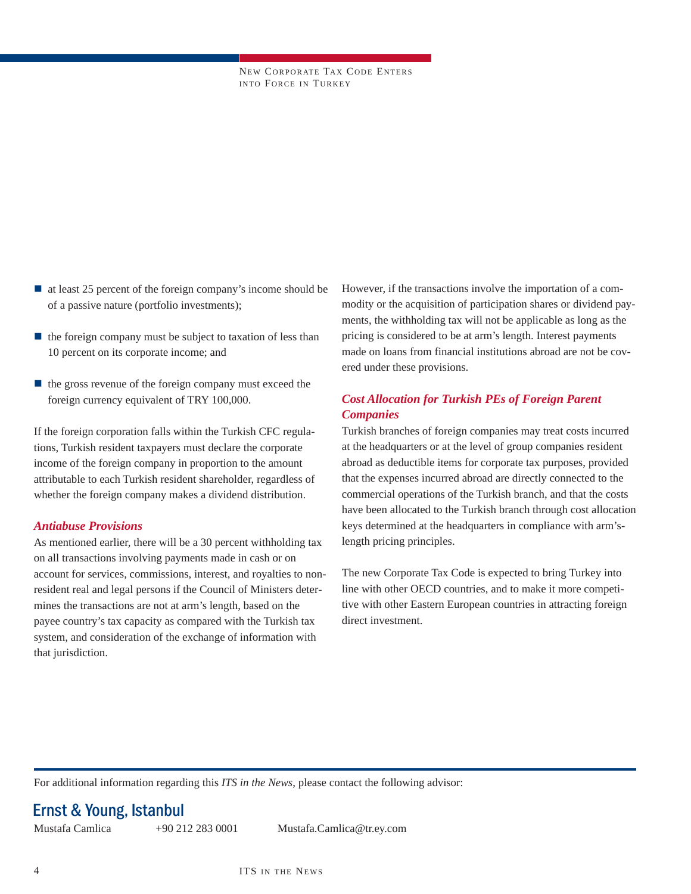NEW CORPORATE TAX CODE ENTERS INTO FORCE IN TURKEY

- at least 25 percent of the foreign company's income should be of a passive nature (portfolio investments);
- $\blacksquare$  the foreign company must be subject to taxation of less than 10 percent on its corporate income; and
- $\blacksquare$  the gross revenue of the foreign company must exceed the foreign currency equivalent of TRY 100,000.

If the foreign corporation falls within the Turkish CFC regulations, Turkish resident taxpayers must declare the corporate income of the foreign company in proportion to the amount attributable to each Turkish resident shareholder, regardless of whether the foreign company makes a dividend distribution.

#### *Antiabuse Provisions*

As mentioned earlier, there will be a 30 percent withholding tax on all transactions involving payments made in cash or on account for services, commissions, interest, and royalties to nonresident real and legal persons if the Council of Ministers determines the transactions are not at arm's length, based on the payee country's tax capacity as compared with the Turkish tax system, and consideration of the exchange of information with that jurisdiction.

However, if the transactions involve the importation of a commodity or the acquisition of participation shares or dividend payments, the withholding tax will not be applicable as long as the pricing is considered to be at arm's length. Interest payments made on loans from financial institutions abroad are not be covered under these provisions.

#### *Cost Allocation for Turkish PEs of Foreign Parent Companies*

Turkish branches of foreign companies may treat costs incurred at the headquarters or at the level of group companies resident abroad as deductible items for corporate tax purposes, provided that the expenses incurred abroad are directly connected to the commercial operations of the Turkish branch, and that the costs have been allocated to the Turkish branch through cost allocation keys determined at the headquarters in compliance with arm'slength pricing principles.

The new Corporate Tax Code is expected to bring Turkey into line with other OECD countries, and to make it more competitive with other Eastern European countries in attracting foreign direct investment.

For additional information regarding this *ITS in the News*, please contact the following advisor:

## Ernst & Young, Istanbul

Mustafa Camlica +90 212 283 0001 Mustafa.Camlica@tr.ey.com